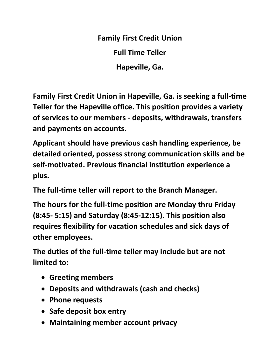**Family First Credit Union Full Time Teller Hapeville, Ga.** 

**Family First Credit Union in Hapeville, Ga. is seeking a full-time Teller for the Hapeville office. This position provides a variety of services to our members - deposits, withdrawals, transfers and payments on accounts.** 

**Applicant should have previous cash handling experience, be detailed oriented, possess strong communication skills and be self-motivated. Previous financial institution experience a plus.** 

**The full-time teller will report to the Branch Manager.** 

**The hours for the full-time position are Monday thru Friday (8:45- 5:15) and Saturday (8:45-12:15). This position also requires flexibility for vacation schedules and sick days of other employees.** 

**The duties of the full-time teller may include but are not limited to:** 

- **Greeting members**
- **Deposits and withdrawals (cash and checks)**
- **Phone requests**
- **Safe deposit box entry**
- **Maintaining member account privacy**